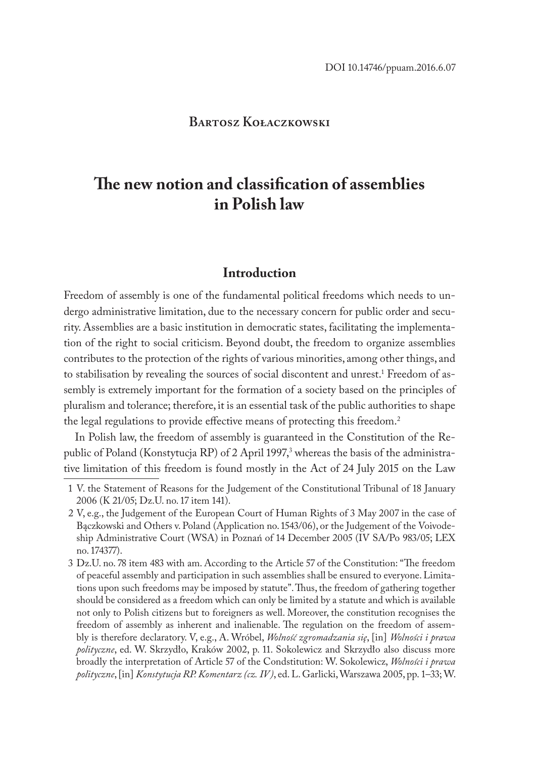## **Bartosz Kołaczkowski**

# **The new notion and classification of assemblies in Polish law**

# **Introduction**

Freedom of assembly is one of the fundamental political freedoms which needs to undergo administrative limitation, due to the necessary concern for public order and security. Assemblies are a basic institution in democratic states, facilitating the implementation of the right to social criticism. Beyond doubt, the freedom to organize assemblies contributes to the protection of the rights of various minorities, among other things, and to stabilisation by revealing the sources of social discontent and unrest.<sup>1</sup> Freedom of assembly is extremely important for the formation of a society based on the principles of pluralism and tolerance; therefore, it is an essential task of the public authorities to shape the legal regulations to provide effective means of protecting this freedom.<sup>2</sup>

In Polish law, the freedom of assembly is guaranteed in the Constitution of the Republic of Poland (Konstytucja RP) of 2 April 1997,<sup>3</sup> whereas the basis of the administrative limitation of this freedom is found mostly in the Act of 24 July 2015 on the Law

<sup>1</sup> V. the Statement of Reasons for the Judgement of the Constitutional Tribunal of 18 January 2006 (K 21/05; Dz.U. no. 17 item 141).

<sup>2</sup> V, e.g., the Judgement of the European Court of Human Rights of 3 May 2007 in the case of Bączkowski and Others v. Poland (Application no. 1543/06), or the Judgement of the Voivodeship Administrative Court (WSA) in Poznań of 14 December 2005 (IV SA/Po 983/05; LEX no. 174377).

<sup>3</sup> Dz.U. no. 78 item 483 with am. According to the Article 57 of the Constitution: "The freedom of peaceful assembly and participation in such assemblies shall be ensured to everyone. Limitations upon such freedoms may be imposed by statute". Thus, the freedom of gathering together should be considered as a freedom which can only be limited by a statute and which is available not only to Polish citizens but to foreigners as well. Moreover, the constitution recognises the freedom of assembly as inherent and inalienable. The regulation on the freedom of assembly is therefore declaratory. V, e.g., A. Wróbel, *Wolność zgromadzania się*, [in] *Wolności i prawa polityczne*, ed. W. Skrzydło, Kraków 2002, p. 11. Sokolewicz and Skrzydło also discuss more broadly the interpretation of Article 57 of the Condstitution: W. Sokolewicz, *Wolności i prawa polityczne*, [in] *Konstytucja RP. Komentarz (cz. IV)*, ed. L. Garlicki, Warszawa 2005, pp. 1–33; W.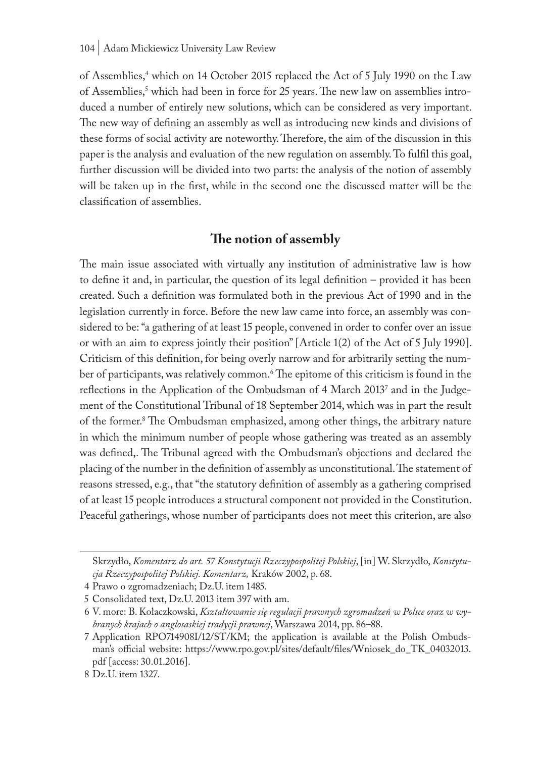of Assemblies,<sup>4</sup> which on 14 October 2015 replaced the Act of 5 July 1990 on the Law of Assemblies,<sup>5</sup> which had been in force for 25 years. The new law on assemblies introduced a number of entirely new solutions, which can be considered as very important. The new way of defining an assembly as well as introducing new kinds and divisions of these forms of social activity are noteworthy. Therefore, the aim of the discussion in this paper is the analysis and evaluation of the new regulation on assembly. To fulfil this goal, further discussion will be divided into two parts: the analysis of the notion of assembly will be taken up in the first, while in the second one the discussed matter will be the classification of assemblies.

# **The notion of assembly**

The main issue associated with virtually any institution of administrative law is how to define it and, in particular, the question of its legal definition – provided it has been created. Such a definition was formulated both in the previous Act of 1990 and in the legislation currently in force. Before the new law came into force, an assembly was considered to be: "a gathering of at least 15 people, convened in order to confer over an issue or with an aim to express jointly their position" [Article 1(2) of the Act of 5 July 1990]. Criticism of this definition, for being overly narrow and for arbitrarily setting the number of participants, was relatively common.<sup>6</sup> The epitome of this criticism is found in the reflections in the Application of the Ombudsman of 4 March 20137 and in the Judgement of the Constitutional Tribunal of 18 September 2014, which was in part the result of the former.8 The Ombudsman emphasized, among other things, the arbitrary nature in which the minimum number of people whose gathering was treated as an assembly was defined,. The Tribunal agreed with the Ombudsman's objections and declared the placing of the number in the definition of assembly as unconstitutional. The statement of reasons stressed, e.g., that "the statutory definition of assembly as a gathering comprised of at least 15 people introduces a structural component not provided in the Constitution. Peaceful gatherings, whose number of participants does not meet this criterion, are also

Skrzydło, *Komentarz do art. 57 Konstytucji Rzeczypospolitej Polskiej*, [in] W. Skrzydło, *Konstytucja Rzeczypospolitej Polskiej. Komentarz,* Kraków 2002, p. 68.

<sup>4</sup> Prawo o zgromadzeniach; Dz.U. item 1485.

<sup>5</sup> Consolidated text, Dz.U. 2013 item 397 with am.

<sup>6</sup> V. more: B. Kołaczkowski, *Kształtowanie się regulacji prawnych zgromadzeń w Polsce oraz w wybranych krajach o anglosaskiej tradycji prawnej*, Warszawa 2014, pp. 86–88.

<sup>7</sup> Application RPO714908I/12/ST/KM; the application is available at the Polish Ombudsman's official website: https://www.rpo.gov.pl/sites/default/files/Wniosek\_do\_TK\_04032013. pdf [access: 30.01.2016].

<sup>8</sup> Dz.U. item 1327.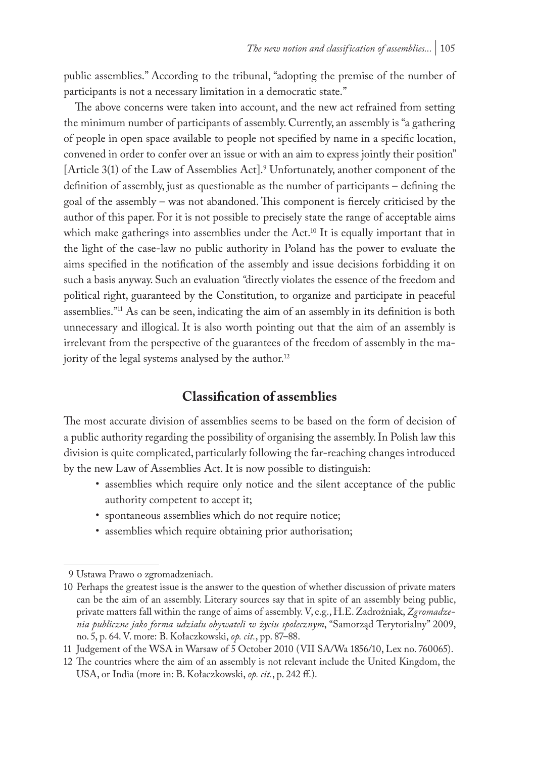public assemblies." According to the tribunal, "adopting the premise of the number of participants is not a necessary limitation in a democratic state."

The above concerns were taken into account, and the new act refrained from setting the minimum number of participants of assembly. Currently, an assembly is "a gathering of people in open space available to people not specified by name in a specific location, convened in order to confer over an issue or with an aim to express jointly their position" [Article 3(1) of the Law of Assemblies Act].9 Unfortunately, another component of the definition of assembly, just as questionable as the number of participants – defining the goal of the assembly – was not abandoned. This component is fiercely criticised by the author of this paper. For it is not possible to precisely state the range of acceptable aims which make gatherings into assemblies under the Act.<sup>10</sup> It is equally important that in the light of the case-law no public authority in Poland has the power to evaluate the aims specified in the notification of the assembly and issue decisions forbidding it on such a basis anyway. Such an evaluation *"*directly violates the essence of the freedom and political right, guaranteed by the Constitution, to organize and participate in peaceful assemblies."11 As can be seen, indicating the aim of an assembly in its definition is both unnecessary and illogical. It is also worth pointing out that the aim of an assembly is irrelevant from the perspective of the guarantees of the freedom of assembly in the majority of the legal systems analysed by the author.<sup>12</sup>

## **Classification of assemblies**

The most accurate division of assemblies seems to be based on the form of decision of a public authority regarding the possibility of organising the assembly. In Polish law this division is quite complicated, particularly following the far-reaching changes introduced by the new Law of Assemblies Act. It is now possible to distinguish:

- assemblies which require only notice and the silent acceptance of the public authority competent to accept it;
- spontaneous assemblies which do not require notice;
- assemblies which require obtaining prior authorisation;

<sup>9</sup> Ustawa Prawo o zgromadzeniach.

<sup>10</sup> Perhaps the greatest issue is the answer to the question of whether discussion of private maters can be the aim of an assembly. Literary sources say that in spite of an assembly being public, private matters fall within the range of aims of assembly. V, e.g., H.E. Zadrożniak, *Zgromadzenia publiczne jako forma udziału obywateli w życiu społecznym*, "Samorząd Terytorialny" 2009, no. 5, p. 64. V. more: B. Kołaczkowski, *op. cit.*, pp. 87–88.

<sup>11</sup> Judgement of the WSA in Warsaw of 5 October 2010 (VII SA/Wa 1856/10, Lex no. 760065).

<sup>12</sup> The countries where the aim of an assembly is not relevant include the United Kingdom, the USA, or India (more in: B. Kołaczkowski, *op. cit.*, p. 242 ff.).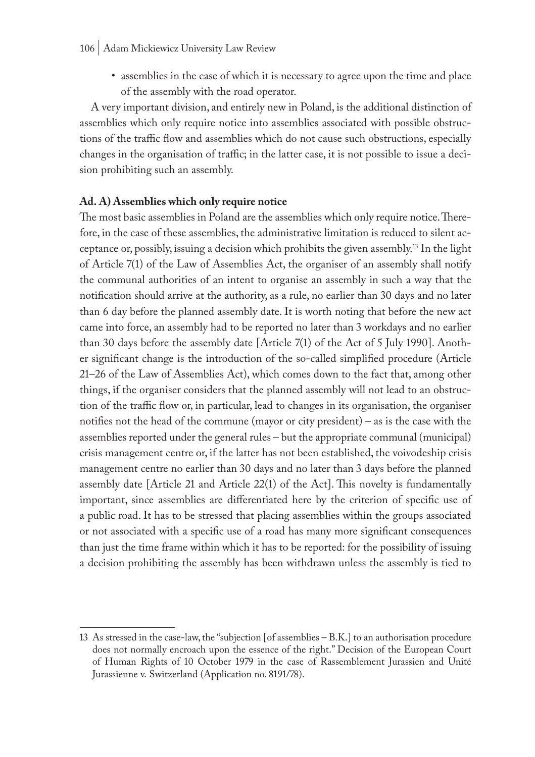• assemblies in the case of which it is necessary to agree upon the time and place of the assembly with the road operator.

A very important division, and entirely new in Poland, is the additional distinction of assemblies which only require notice into assemblies associated with possible obstructions of the traffic flow and assemblies which do not cause such obstructions, especially changes in the organisation of traffic; in the latter case, it is not possible to issue a decision prohibiting such an assembly.

#### **Ad. A) Assemblies which only require notice**

The most basic assemblies in Poland are the assemblies which only require notice. Therefore, in the case of these assemblies, the administrative limitation is reduced to silent acceptance or, possibly, issuing a decision which prohibits the given assembly.13 In the light of Article 7(1) of the Law of Assemblies Act, the organiser of an assembly shall notify the communal authorities of an intent to organise an assembly in such a way that the notification should arrive at the authority, as a rule, no earlier than 30 days and no later than 6 day before the planned assembly date. It is worth noting that before the new act came into force, an assembly had to be reported no later than 3 workdays and no earlier than 30 days before the assembly date [Article 7(1) of the Act of 5 July 1990]. Another significant change is the introduction of the so-called simplified procedure (Article 21–26 of the Law of Assemblies Act), which comes down to the fact that, among other things, if the organiser considers that the planned assembly will not lead to an obstruction of the traffic flow or, in particular, lead to changes in its organisation, the organiser notifies not the head of the commune (mayor or city president) – as is the case with the assemblies reported under the general rules – but the appropriate communal (municipal) crisis management centre or, if the latter has not been established, the voivodeship crisis management centre no earlier than 30 days and no later than 3 days before the planned assembly date [Article 21 and Article 22(1) of the Act]. This novelty is fundamentally important, since assemblies are differentiated here by the criterion of specific use of a public road. It has to be stressed that placing assemblies within the groups associated or not associated with a specific use of a road has many more significant consequences than just the time frame within which it has to be reported: for the possibility of issuing a decision prohibiting the assembly has been withdrawn unless the assembly is tied to

<sup>13</sup> As stressed in the case-law, the "subjection [of assemblies – B.K.] to an authorisation procedure does not normally encroach upon the essence of the right." Decision of the European Court of Human Rights of 10 October 1979 in the case of Rassemblement Jurassien and Unité Jurassienne v. Switzerland (Application no. 8191/78).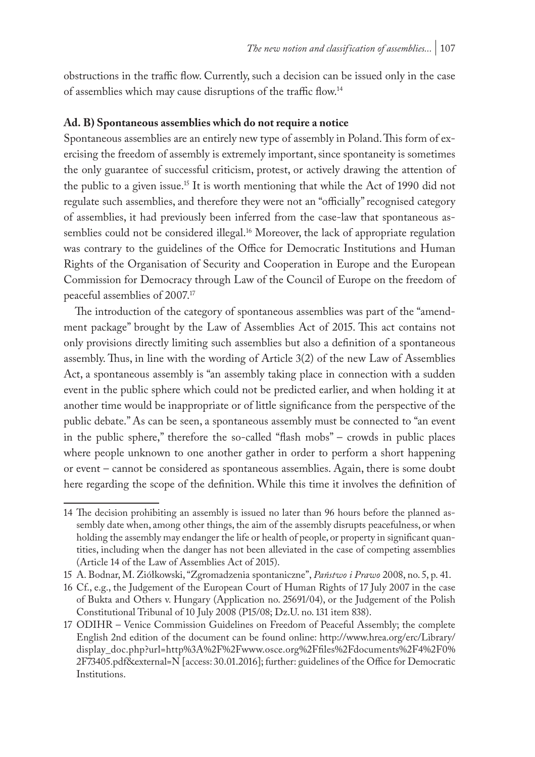obstructions in the traffic flow. Currently, such a decision can be issued only in the case of assemblies which may cause disruptions of the traffic flow.<sup>14</sup>

#### **Ad. B) Spontaneous assemblies which do not require a notice**

Spontaneous assemblies are an entirely new type of assembly in Poland. This form of exercising the freedom of assembly is extremely important, since spontaneity is sometimes the only guarantee of successful criticism, protest, or actively drawing the attention of the public to a given issue.15 It is worth mentioning that while the Act of 1990 did not regulate such assemblies, and therefore they were not an "officially" recognised category of assemblies, it had previously been inferred from the case-law that spontaneous assemblies could not be considered illegal.<sup>16</sup> Moreover, the lack of appropriate regulation was contrary to the guidelines of the Office for Democratic Institutions and Human Rights of the Organisation of Security and Cooperation in Europe and the European Commission for Democracy through Law of the Council of Europe on the freedom of peaceful assemblies of 2007.17

The introduction of the category of spontaneous assemblies was part of the "amendment package" brought by the Law of Assemblies Act of 2015. This act contains not only provisions directly limiting such assemblies but also a definition of a spontaneous assembly. Thus, in line with the wording of Article 3(2) of the new Law of Assemblies Act, a spontaneous assembly is "an assembly taking place in connection with a sudden event in the public sphere which could not be predicted earlier, and when holding it at another time would be inappropriate or of little significance from the perspective of the public debate." As can be seen, a spontaneous assembly must be connected to "an event in the public sphere," therefore the so-called "flash mobs" – crowds in public places where people unknown to one another gather in order to perform a short happening or event – cannot be considered as spontaneous assemblies. Again, there is some doubt here regarding the scope of the definition. While this time it involves the definition of

<sup>14</sup> The decision prohibiting an assembly is issued no later than 96 hours before the planned assembly date when, among other things, the aim of the assembly disrupts peacefulness, or when holding the assembly may endanger the life or health of people, or property in significant quantities, including when the danger has not been alleviated in the case of competing assemblies (Article 14 of the Law of Assemblies Act of 2015).

<sup>15</sup> A. Bodnar, M. Ziółkowski, "Zgromadzenia spontaniczne", *Państwo i Prawo* 2008, no. 5, p. 41.

<sup>16</sup> Cf., e.g., the Judgement of the European Court of Human Rights of 17 July 2007 in the case of Bukta and Others v. Hungary (Application no. 25691/04), or the Judgement of the Polish Constitutional Tribunal of 10 July 2008 (P15/08; Dz.U. no. 131 item 838).

<sup>17</sup> ODIHR – Venice Commission Guidelines on Freedom of Peaceful Assembly; the complete English 2nd edition of the document can be found online: http://www.hrea.org/erc/Library/ display\_doc.php?url=http%3A%2F%2Fwww.osce.org%2Ffiles%2Fdocuments%2F4%2F0% 2F73405.pdf&external=N [access: 30.01.2016]; further: guidelines of the Office for Democratic Institutions.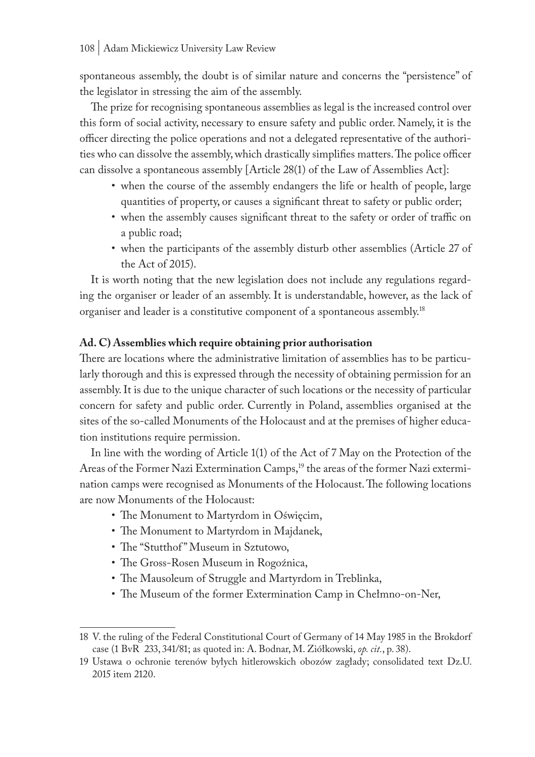spontaneous assembly, the doubt is of similar nature and concerns the "persistence" of the legislator in stressing the aim of the assembly.

The prize for recognising spontaneous assemblies as legal is the increased control over this form of social activity, necessary to ensure safety and public order. Namely, it is the officer directing the police operations and not a delegated representative of the authorities who can dissolve the assembly, which drastically simplifies matters. The police officer can dissolve a spontaneous assembly [Article 28(1) of the Law of Assemblies Act]:

- when the course of the assembly endangers the life or health of people, large quantities of property, or causes a significant threat to safety or public order;
- when the assembly causes significant threat to the safety or order of traffic on a public road;
- when the participants of the assembly disturb other assemblies (Article 27 of the Act of 2015).

It is worth noting that the new legislation does not include any regulations regarding the organiser or leader of an assembly. It is understandable, however, as the lack of organiser and leader is a constitutive component of a spontaneous assembly.18

#### **Ad. C) Assemblies which require obtaining prior authorisation**

There are locations where the administrative limitation of assemblies has to be particularly thorough and this is expressed through the necessity of obtaining permission for an assembly. It is due to the unique character of such locations or the necessity of particular concern for safety and public order. Currently in Poland, assemblies organised at the sites of the so-called Monuments of the Holocaust and at the premises of higher education institutions require permission.

In line with the wording of Article 1(1) of the Act of 7 May on the Protection of the Areas of the Former Nazi Extermination Camps,<sup>19</sup> the areas of the former Nazi extermination camps were recognised as Monuments of the Holocaust. The following locations are now Monuments of the Holocaust:

- The Monument to Martyrdom in Oświęcim,
- The Monument to Martyrdom in Majdanek,
- The "Stutthof" Museum in Sztutowo,
- The Gross-Rosen Museum in Rogoźnica,
- The Mausoleum of Struggle and Martyrdom in Treblinka,
- The Museum of the former Extermination Camp in Chełmno-on-Ner,

<sup>18</sup> V. the ruling of the Federal Constitutional Court of Germany of 14 May 1985 in the Brokdorf case (1 BvR 233, 341/81; as quoted in: A. Bodnar, M. Ziółkowski, *op. cit.*, p. 38).

<sup>19</sup> Ustawa o ochronie terenów byłych hitlerowskich obozów zagłady; consolidated text Dz.U. 2015 item 2120.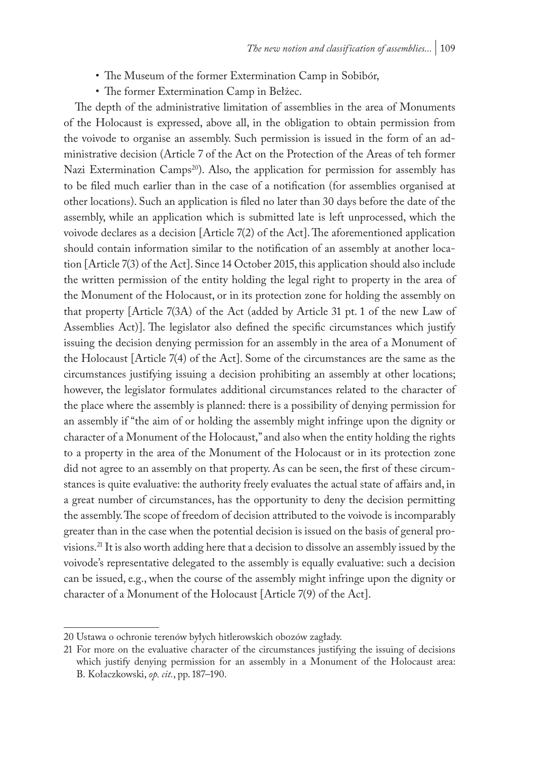- The Museum of the former Extermination Camp in Sobibór,
- The former Extermination Camp in Bełżec.

The depth of the administrative limitation of assemblies in the area of Monuments of the Holocaust is expressed, above all, in the obligation to obtain permission from the voivode to organise an assembly. Such permission is issued in the form of an administrative decision (Article 7 of the Act on the Protection of the Areas of teh former Nazi Extermination Camps<sup>20</sup>). Also, the application for permission for assembly has to be filed much earlier than in the case of a notification (for assemblies organised at other locations). Such an application is filed no later than 30 days before the date of the assembly, while an application which is submitted late is left unprocessed, which the voivode declares as a decision [Article 7(2) of the Act]. The aforementioned application should contain information similar to the notification of an assembly at another location [Article 7(3) of the Act]. Since 14 October 2015, this application should also include the written permission of the entity holding the legal right to property in the area of the Monument of the Holocaust, or in its protection zone for holding the assembly on that property [Article 7(3A) of the Act (added by Article 31 pt. 1 of the new Law of Assemblies Act)]. The legislator also defined the specific circumstances which justify issuing the decision denying permission for an assembly in the area of a Monument of the Holocaust [Article 7(4) of the Act]. Some of the circumstances are the same as the circumstances justifying issuing a decision prohibiting an assembly at other locations; however, the legislator formulates additional circumstances related to the character of the place where the assembly is planned: there is a possibility of denying permission for an assembly if "the aim of or holding the assembly might infringe upon the dignity or character of a Monument of the Holocaust," and also when the entity holding the rights to a property in the area of the Monument of the Holocaust or in its protection zone did not agree to an assembly on that property. As can be seen, the first of these circumstances is quite evaluative: the authority freely evaluates the actual state of affairs and, in a great number of circumstances, has the opportunity to deny the decision permitting the assembly. The scope of freedom of decision attributed to the voivode is incomparably greater than in the case when the potential decision is issued on the basis of general provisions.21 It is also worth adding here that a decision to dissolve an assembly issued by the voivode's representative delegated to the assembly is equally evaluative: such a decision can be issued, e.g., when the course of the assembly might infringe upon the dignity or character of a Monument of the Holocaust [Article 7(9) of the Act].

<sup>20</sup> Ustawa o ochronie terenów byłych hitlerowskich obozów zagłady.

<sup>21</sup> For more on the evaluative character of the circumstances justifying the issuing of decisions which justify denying permission for an assembly in a Monument of the Holocaust area: B. Kołaczkowski, *op. cit.*, pp. 187–190.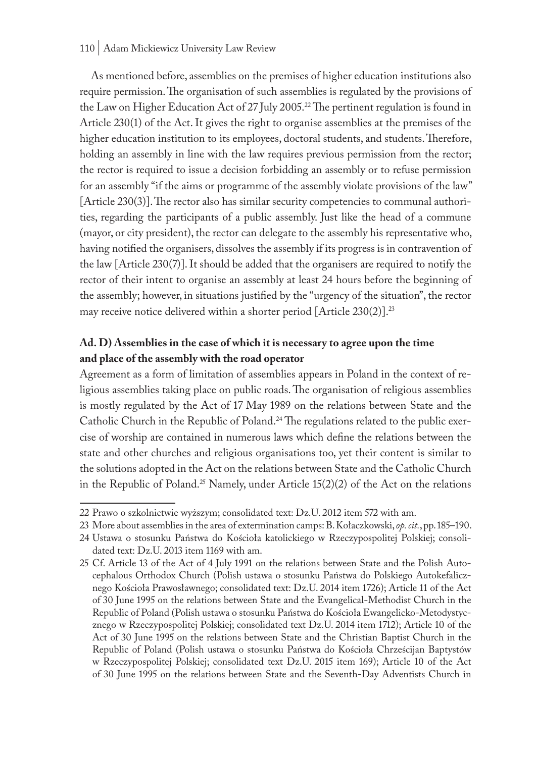#### 110 | Adam Mickiewicz University Law Review

As mentioned before, assemblies on the premises of higher education institutions also require permission. The organisation of such assemblies is regulated by the provisions of the Law on Higher Education Act of 27 July 2005.<sup>22</sup> The pertinent regulation is found in Article 230(1) of the Act. It gives the right to organise assemblies at the premises of the higher education institution to its employees, doctoral students, and students. Therefore, holding an assembly in line with the law requires previous permission from the rector; the rector is required to issue a decision forbidding an assembly or to refuse permission for an assembly "if the aims or programme of the assembly violate provisions of the law" [Article 230(3)]. The rector also has similar security competencies to communal authorities, regarding the participants of a public assembly. Just like the head of a commune (mayor, or city president), the rector can delegate to the assembly his representative who, having notified the organisers, dissolves the assembly if its progress is in contravention of the law [Article 230(7)]. It should be added that the organisers are required to notify the rector of their intent to organise an assembly at least 24 hours before the beginning of the assembly; however, in situations justified by the "urgency of the situation", the rector may receive notice delivered within a shorter period  $[Article 230(2)]^{23}$ 

# **Ad. D) Assemblies in the case of which it is necessary to agree upon the time and place of the assembly with the road operator**

Agreement as a form of limitation of assemblies appears in Poland in the context of religious assemblies taking place on public roads. The organisation of religious assemblies is mostly regulated by the Act of 17 May 1989 on the relations between State and the Catholic Church in the Republic of Poland.24 The regulations related to the public exercise of worship are contained in numerous laws which define the relations between the state and other churches and religious organisations too, yet their content is similar to the solutions adopted in the Act on the relations between State and the Catholic Church in the Republic of Poland.<sup>25</sup> Namely, under Article  $15(2)(2)$  of the Act on the relations

<sup>22</sup> Prawo o szkolnictwie wyższym; consolidated text: Dz.U. 2012 item 572 with am.

<sup>23</sup> More about assemblies in the area of extermination camps: B. Kołaczkowski, *op. cit.*, pp. 185–190.

<sup>24</sup> Ustawa o stosunku Państwa do Kościoła katolickiego w Rzeczypospolitej Polskiej; consolidated text: Dz.U. 2013 item 1169 with am.

<sup>25</sup> Cf. Article 13 of the Act of 4 July 1991 on the relations between State and the Polish Autocephalous Orthodox Church (Polish ustawa o stosunku Państwa do Polskiego Autokefalicznego Kościoła Prawosławnego; consolidated text: Dz.U. 2014 item 1726); Article 11 of the Act of 30 June 1995 on the relations between State and the Evangelical-Methodist Church in the Republic of Poland (Polish ustawa o stosunku Państwa do Kościoła Ewangelicko-Metodystycznego w Rzeczypospolitej Polskiej; consolidated text Dz.U. 2014 item 1712); Article 10 of the Act of 30 June 1995 on the relations between State and the Christian Baptist Church in the Republic of Poland (Polish ustawa o stosunku Państwa do Kościoła Chrześcijan Baptystów w Rzeczypospolitej Polskiej; consolidated text Dz.U. 2015 item 169); Article 10 of the Act of 30 June 1995 on the relations between State and the Seventh-Day Adventists Church in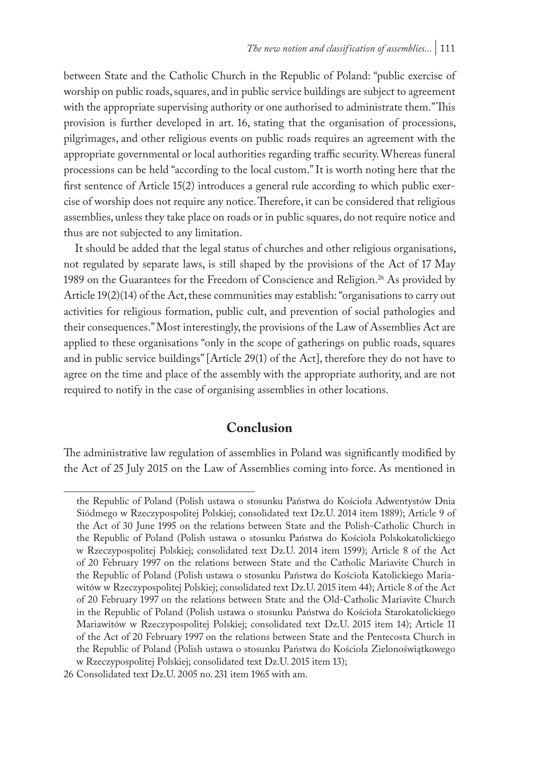between State and the Catholic Church in the Republic of Poland: "public exercise of worship on public roads, squares, and in public service buildings are subject to agreement with the appropriate supervising authority or one authorised to administrate them." This provision is further developed in art. 16, stating that the organisation of processions, pilgrimages, and other religious events on public roads requires an agreement with the appropriate governmental or local authorities regarding traffic security. Whereas funeral processions can be held "according to the local custom." It is worth noting here that the first sentence of Article 15(2) introduces a general rule according to which public exercise of worship does not require any notice. Therefore, it can be considered that religious assemblies, unless they take place on roads or in public squares, do not require notice and thus are not subjected to any limitation.

It should be added that the legal status of churches and other religious organisations, not regulated by separate laws, is still shaped by the provisions of the Act of 17 May 1989 on the Guarantees for the Freedom of Conscience and Religion.<sup>26</sup> As provided by Article 19(2)(14) of the Act, these communities may establish: "organisations to carry out activities for religious formation, public cult, and prevention of social pathologies and their consequences." Most interestingly, the provisions of the Law of Assemblies Act are applied to these organisations "only in the scope of gatherings on public roads, squares and in public service buildings" [Article 29(1) of the Act], therefore they do not have to agree on the time and place of the assembly with the appropriate authority, and are not required to notify in the case of organising assemblies in other locations.

# **Conclusion**

The administrative law regulation of assemblies in Poland was significantly modified by the Act of 25 July 2015 on the Law of Assemblies coming into force. As mentioned in

the Republic of Poland (Polish ustawa o stosunku Państwa do Kościoła Adwentystów Dnia Siódmego w Rzeczypospolitej Polskiej; consolidated text Dz.U. 2014 item 1889); Article 9 of the Act of 30 June 1995 on the relations between State and the Polish-Catholic Church in the Republic of Poland (Polish ustawa o stosunku Państwa do Kościoła Polskokatolickiego w Rzeczypospolitej Polskiej; consolidated text Dz.U. 2014 item 1599); Article 8 of the Act of 20 February 1997 on the relations between State and the Catholic Mariavite Church in the Republic of Poland (Polish ustawa o stosunku Państwa do Kościoła Katolickiego Mariawitów w Rzeczypospolitej Polskiej; consolidated text Dz.U. 2015 item 44); Article 8 of the Act of 20 February 1997 on the relations between State and the Old-Catholic Mariavite Church in the Republic of Poland (Polish ustawa o stosunku Państwa do Kościoła Starokatolickiego Mariawitów w Rzeczypospolitej Polskiej; consolidated text Dz.U. 2015 item 14); Article 11 of the Act of 20 February 1997 on the relations between State and the Pentecosta Church in the Republic of Poland (Polish ustawa o stosunku Państwa do Kościoła Zielonoświątkowego w Rzeczypospolitej Polskiej; consolidated text Dz.U. 2015 item 13);

<sup>26</sup> Consolidated text Dz.U. 2005 no. 231 item 1965 with am.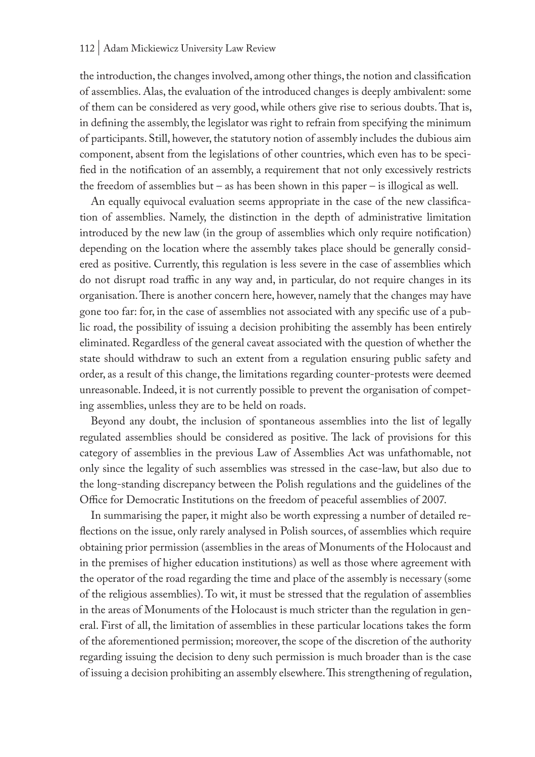the introduction, the changes involved, among other things, the notion and classification of assemblies. Alas, the evaluation of the introduced changes is deeply ambivalent: some of them can be considered as very good, while others give rise to serious doubts. That is, in defining the assembly, the legislator was right to refrain from specifying the minimum of participants. Still, however, the statutory notion of assembly includes the dubious aim component, absent from the legislations of other countries, which even has to be specified in the notification of an assembly, a requirement that not only excessively restricts the freedom of assemblies but – as has been shown in this paper – is illogical as well.

An equally equivocal evaluation seems appropriate in the case of the new classification of assemblies. Namely, the distinction in the depth of administrative limitation introduced by the new law (in the group of assemblies which only require notification) depending on the location where the assembly takes place should be generally considered as positive. Currently, this regulation is less severe in the case of assemblies which do not disrupt road traffic in any way and, in particular, do not require changes in its organisation. There is another concern here, however, namely that the changes may have gone too far: for, in the case of assemblies not associated with any specific use of a public road, the possibility of issuing a decision prohibiting the assembly has been entirely eliminated. Regardless of the general caveat associated with the question of whether the state should withdraw to such an extent from a regulation ensuring public safety and order, as a result of this change, the limitations regarding counter-protests were deemed unreasonable. Indeed, it is not currently possible to prevent the organisation of competing assemblies, unless they are to be held on roads.

Beyond any doubt, the inclusion of spontaneous assemblies into the list of legally regulated assemblies should be considered as positive. The lack of provisions for this category of assemblies in the previous Law of Assemblies Act was unfathomable, not only since the legality of such assemblies was stressed in the case-law, but also due to the long-standing discrepancy between the Polish regulations and the guidelines of the Office for Democratic Institutions on the freedom of peaceful assemblies of 2007.

In summarising the paper, it might also be worth expressing a number of detailed reflections on the issue, only rarely analysed in Polish sources, of assemblies which require obtaining prior permission (assemblies in the areas of Monuments of the Holocaust and in the premises of higher education institutions) as well as those where agreement with the operator of the road regarding the time and place of the assembly is necessary (some of the religious assemblies). To wit, it must be stressed that the regulation of assemblies in the areas of Monuments of the Holocaust is much stricter than the regulation in general. First of all, the limitation of assemblies in these particular locations takes the form of the aforementioned permission; moreover, the scope of the discretion of the authority regarding issuing the decision to deny such permission is much broader than is the case of issuing a decision prohibiting an assembly elsewhere. This strengthening of regulation,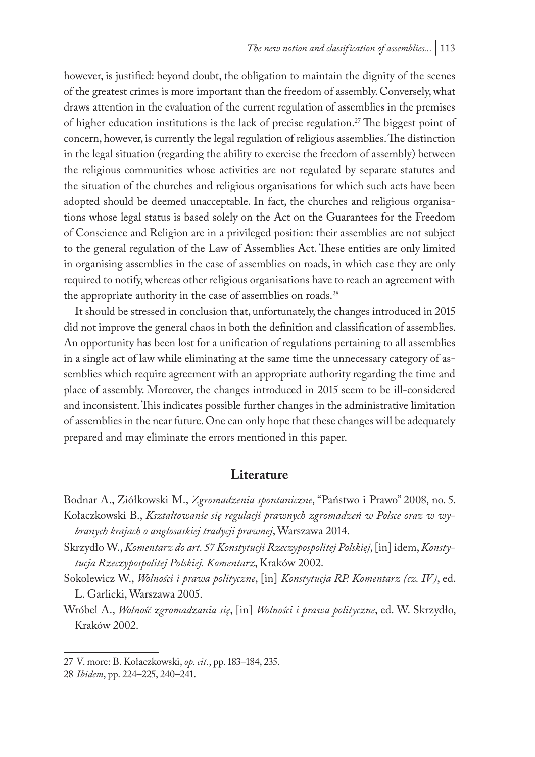however, is justified: beyond doubt, the obligation to maintain the dignity of the scenes of the greatest crimes is more important than the freedom of assembly. Conversely, what draws attention in the evaluation of the current regulation of assemblies in the premises of higher education institutions is the lack of precise regulation.<sup>27</sup> The biggest point of concern, however, is currently the legal regulation of religious assemblies. The distinction in the legal situation (regarding the ability to exercise the freedom of assembly) between the religious communities whose activities are not regulated by separate statutes and the situation of the churches and religious organisations for which such acts have been adopted should be deemed unacceptable. In fact, the churches and religious organisations whose legal status is based solely on the Act on the Guarantees for the Freedom of Conscience and Religion are in a privileged position: their assemblies are not subject to the general regulation of the Law of Assemblies Act. These entities are only limited in organising assemblies in the case of assemblies on roads, in which case they are only required to notify, whereas other religious organisations have to reach an agreement with the appropriate authority in the case of assemblies on roads.<sup>28</sup>

It should be stressed in conclusion that, unfortunately, the changes introduced in 2015 did not improve the general chaos in both the definition and classification of assemblies. An opportunity has been lost for a unification of regulations pertaining to all assemblies in a single act of law while eliminating at the same time the unnecessary category of assemblies which require agreement with an appropriate authority regarding the time and place of assembly. Moreover, the changes introduced in 2015 seem to be ill-considered and inconsistent. This indicates possible further changes in the administrative limitation of assemblies in the near future. One can only hope that these changes will be adequately prepared and may eliminate the errors mentioned in this paper.

#### **Literature**

Bodnar A., Ziółkowski M., *Zgromadzenia spontaniczne*, "Państwo i Prawo" 2008, no. 5.

Kołaczkowski B., *Kształtowanie się regulacji prawnych zgromadzeń w Polsce oraz w wybranych krajach o anglosaskiej tradycji prawnej*, Warszawa 2014.

Skrzydło W., *Komentarz do art. 57 Konstytucji Rzeczypospolitej Polskiej*, [in] idem, *Konstytucja Rzeczypospolitej Polskiej. Komentarz*, Kraków 2002.

- Sokolewicz W., *Wolności i prawa polityczne*, [in] *Konstytucja RP. Komentarz (cz. IV)*, ed. L. Garlicki, Warszawa 2005.
- Wróbel A., *Wolność zgromadzania się*, [in] *Wolności i prawa polityczne*, ed. W. Skrzydło, Kraków 2002.

<sup>27</sup> V. more: B. Kołaczkowski, *op. cit.*, pp. 183–184, 235.

<sup>28</sup> *Ibidem*, pp. 224–225, 240–241.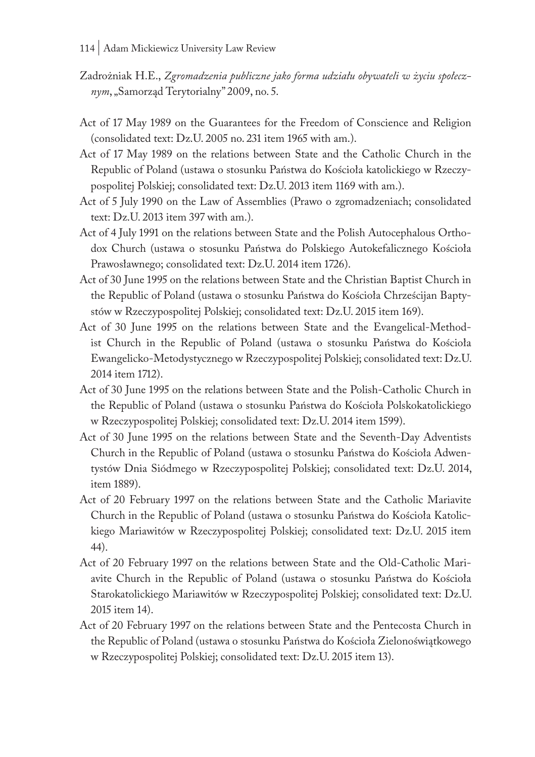- Zadrożniak H.E., *Zgromadzenia publiczne jako forma udziału obywateli w życiu społecznym*, "Samorząd Terytorialny" 2009, no. 5.
- Act of 17 May 1989 on the Guarantees for the Freedom of Conscience and Religion (consolidated text: Dz.U. 2005 no. 231 item 1965 with am.).
- Act of 17 May 1989 on the relations between State and the Catholic Church in the Republic of Poland (ustawa o stosunku Państwa do Kościoła katolickiego w Rzeczypospolitej Polskiej; consolidated text: Dz.U. 2013 item 1169 with am.).
- Act of 5 July 1990 on the Law of Assemblies (Prawo o zgromadzeniach; consolidated text: Dz.U. 2013 item 397 with am.).
- Act of 4 July 1991 on the relations between State and the Polish Autocephalous Orthodox Church (ustawa o stosunku Państwa do Polskiego Autokefalicznego Kościoła Prawosławnego; consolidated text: Dz.U. 2014 item 1726).
- Act of 30 June 1995 on the relations between State and the Christian Baptist Church in the Republic of Poland (ustawa o stosunku Państwa do Kościoła Chrześcijan Baptystów w Rzeczypospolitej Polskiej; consolidated text: Dz.U. 2015 item 169).
- Act of 30 June 1995 on the relations between State and the Evangelical-Methodist Church in the Republic of Poland (ustawa o stosunku Państwa do Kościoła Ewangelicko-Metodystycznego w Rzeczypospolitej Polskiej; consolidated text: Dz.U. 2014 item 1712).
- Act of 30 June 1995 on the relations between State and the Polish-Catholic Church in the Republic of Poland (ustawa o stosunku Państwa do Kościoła Polskokatolickiego w Rzeczypospolitej Polskiej; consolidated text: Dz.U. 2014 item 1599).
- Act of 30 June 1995 on the relations between State and the Seventh-Day Adventists Church in the Republic of Poland (ustawa o stosunku Państwa do Kościoła Adwentystów Dnia Siódmego w Rzeczypospolitej Polskiej; consolidated text: Dz.U. 2014, item 1889).
- Act of 20 February 1997 on the relations between State and the Catholic Mariavite Church in the Republic of Poland (ustawa o stosunku Państwa do Kościoła Katolickiego Mariawitów w Rzeczypospolitej Polskiej; consolidated text: Dz.U. 2015 item 44).
- Act of 20 February 1997 on the relations between State and the Old-Catholic Mariavite Church in the Republic of Poland (ustawa o stosunku Państwa do Kościoła Starokatolickiego Mariawitów w Rzeczypospolitej Polskiej; consolidated text: Dz.U. 2015 item 14).
- Act of 20 February 1997 on the relations between State and the Pentecosta Church in the Republic of Poland (ustawa o stosunku Państwa do Kościoła Zielonoświątkowego w Rzeczypospolitej Polskiej; consolidated text: Dz.U. 2015 item 13).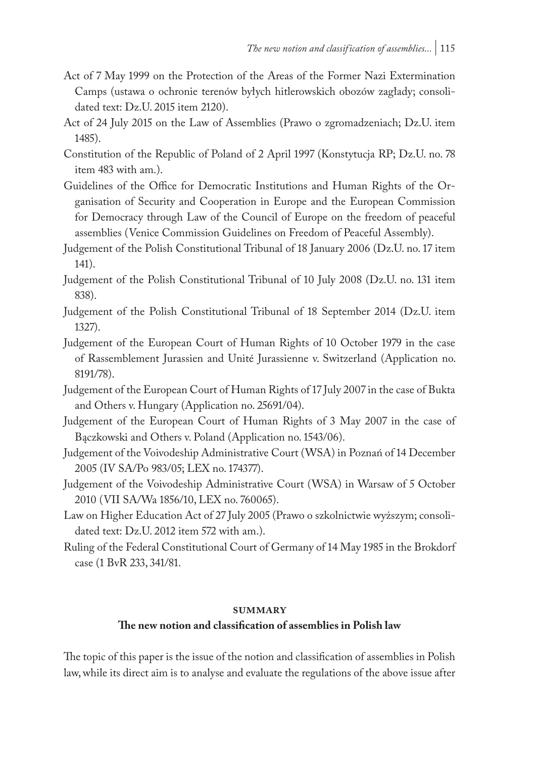- Act of 7 May 1999 on the Protection of the Areas of the Former Nazi Extermination Camps (ustawa o ochronie terenów byłych hitlerowskich obozów zagłady; consolidated text: Dz.U. 2015 item 2120).
- Act of 24 July 2015 on the Law of Assemblies (Prawo o zgromadzeniach; Dz.U. item 1485).
- Constitution of the Republic of Poland of 2 April 1997 (Konstytucja RP; Dz.U. no. 78 item 483 with am.).
- Guidelines of the Office for Democratic Institutions and Human Rights of the Organisation of Security and Cooperation in Europe and the European Commission for Democracy through Law of the Council of Europe on the freedom of peaceful assemblies (Venice Commission Guidelines on Freedom of Peaceful Assembly).
- Judgement of the Polish Constitutional Tribunal of 18 January 2006 (Dz.U. no. 17 item 141).
- Judgement of the Polish Constitutional Tribunal of 10 July 2008 (Dz.U. no. 131 item 838).
- Judgement of the Polish Constitutional Tribunal of 18 September 2014 (Dz.U. item 1327).
- Judgement of the European Court of Human Rights of 10 October 1979 in the case of Rassemblement Jurassien and Unité Jurassienne v. Switzerland (Application no. 8191/78).
- Judgement of the European Court of Human Rights of 17 July 2007 in the case of Bukta and Others v. Hungary (Application no. 25691/04).
- Judgement of the European Court of Human Rights of 3 May 2007 in the case of Bączkowski and Others v. Poland (Application no. 1543/06).
- Judgement of the Voivodeship Administrative Court (WSA) in Poznań of 14 December 2005 (IV SA/Po 983/05; LEX no. 174377).
- Judgement of the Voivodeship Administrative Court (WSA) in Warsaw of 5 October 2010 (VII SA/Wa 1856/10, LEX no. 760065).
- Law on Higher Education Act of 27 July 2005 (Prawo o szkolnictwie wyższym; consolidated text: Dz.U. 2012 item 572 with am.).
- Ruling of the Federal Constitutional Court of Germany of 14 May 1985 in the Brokdorf case (1 BvR 233, 341/81.

#### **summary**

#### **The new notion and classification of assemblies in Polish law**

The topic of this paper is the issue of the notion and classification of assemblies in Polish law, while its direct aim is to analyse and evaluate the regulations of the above issue after